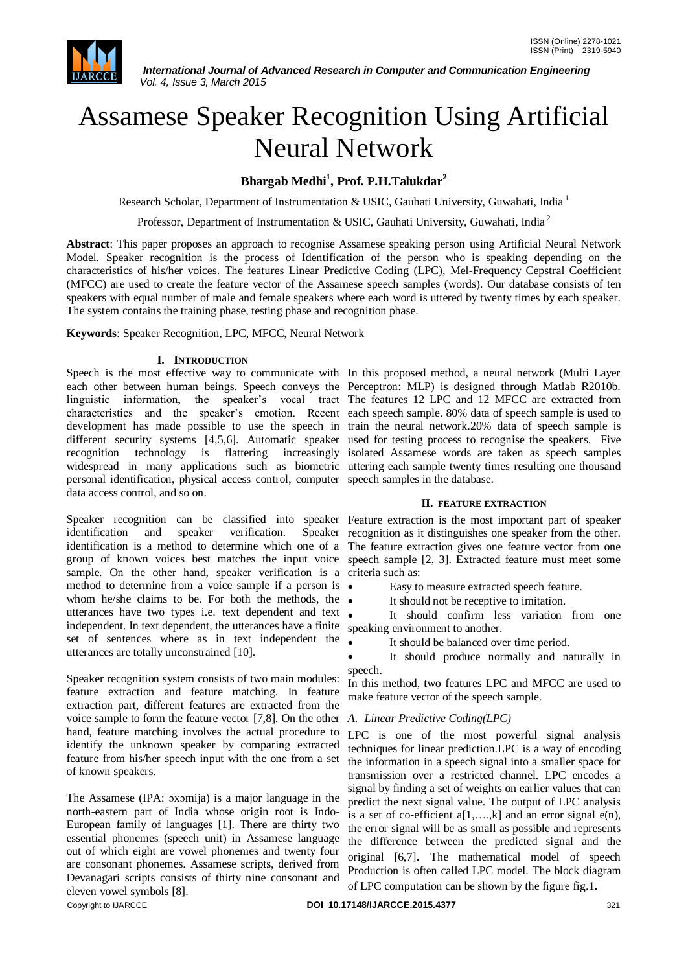

# Assamese Speaker Recognition Using Artificial Neural Network

## **Bhargab Medhi<sup>1</sup> , Prof. P.H.Talukdar<sup>2</sup>**

Research Scholar, Department of Instrumentation & USIC, Gauhati University, Guwahati, India<sup>1</sup>

Professor, Department of Instrumentation & USIC, Gauhati University, Guwahati, India <sup>2</sup>

**Abstract**: This paper proposes an approach to recognise Assamese speaking person using Artificial Neural Network Model. Speaker recognition is the process of Identification of the person who is speaking depending on the characteristics of his/her voices. The features Linear Predictive Coding (LPC), Mel-Frequency Cepstral Coefficient (MFCC) are used to create the feature vector of the Assamese speech samples (words). Our database consists of ten speakers with equal number of male and female speakers where each word is uttered by twenty times by each speaker. The system contains the training phase, testing phase and recognition phase.

**Keywords**: Speaker Recognition, LPC, MFCC, Neural Network

### **I. INTRODUCTION**

Speech is the most effective way to communicate with In this proposed method, a neural network (Multi Layer each other between human beings. Speech conveys the Perceptron: MLP) is designed through Matlab R2010b. linguistic information, the speaker's vocal tract The features 12 LPC and 12 MFCC are extracted from characteristics and the speaker"s emotion. Recent each speech sample. 80% data of speech sample is used to development has made possible to use the speech in train the neural network.20% data of speech sample is different security systems [4,5,6]. Automatic speaker used for testing process to recognise the speakers. Five recognition technology is flattering increasingly isolated Assamese words are taken as speech samples widespread in many applications such as biometric uttering each sample twenty times resulting one thousand personal identification, physical access control, computer speech samples in the database. data access control, and so on.

Speaker recognition can be classified into speaker Feature extraction is the most important part of speaker identification and speaker verification. identification is a method to determine which one of a The feature extraction gives one feature vector from one group of known voices best matches the input voice speech sample [2, 3]. Extracted feature must meet some sample. On the other hand, speaker verification is a criteria such as: method to determine from a voice sample if a person is whom he/she claims to be. For both the methods, the  $\bullet$ utterances have two types i.e. text dependent and text . independent. In text dependent, the utterances have a finite speaking environment to another. set of sentences where as in text independent the utterances are totally unconstrained [10].

Speaker recognition system consists of two main modules: feature extraction and feature matching. In feature extraction part, different features are extracted from the voice sample to form the feature vector [7,8]. On the other hand, feature matching involves the actual procedure to identify the unknown speaker by comparing extracted feature from his/her speech input with the one from a set of known speakers.

Copyright to IJARCCE **DOI 10.17148/IJARCCE.2015.4377** 321 The Assamese (IPA: ɔxɔmija) is a major language in the north-eastern part of India whose origin root is Indo-European family of languages [1]. There are thirty two essential phonemes (speech unit) in Assamese language out of which eight are vowel phonemes and twenty four are consonant phonemes. Assamese scripts, derived from Devanagari scripts consists of thirty nine consonant and eleven vowel symbols [8].

#### **II. FEATURE EXTRACTION**

Speaker recognition as it distinguishes one speaker from the other.

- Easy to measure extracted speech feature.
- It should not be receptive to imitation.

It should confirm less variation from one

It should be balanced over time period.

 It should produce normally and naturally in speech.

In this method, two features LPC and MFCC are used to make feature vector of the speech sample.

#### *A. Linear Predictive Coding(LPC)*

LPC is one of the most powerful signal analysis techniques for linear prediction.LPC is a way of encoding the information in a speech signal into a smaller space for transmission over a restricted channel. LPC encodes a signal by finding a set of weights on earlier values that can predict the next signal value. The output of LPC analysis is a set of co-efficient  $a[1, \ldots, k]$  and an error signal  $e(n)$ , the error signal will be as small as possible and represents the difference between the predicted signal and the original [6,7]. The mathematical model of speech Production is often called LPC model. The block diagram of LPC computation can be shown by the figure fig.1.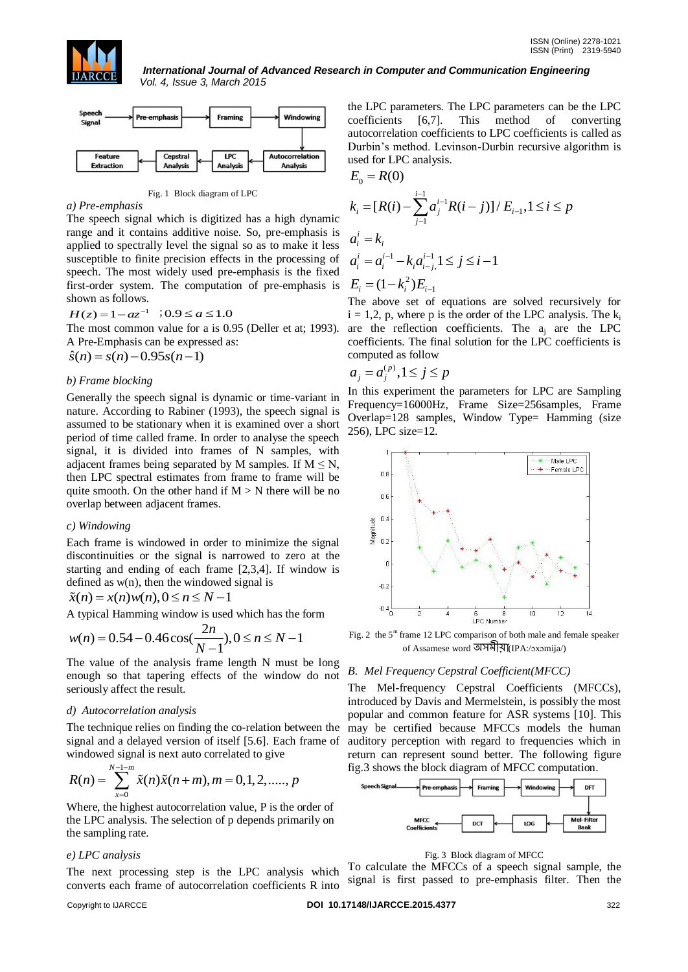



Fig. 1 Block diagram of LPC

#### *a) Pre-emphasis*

The speech signal which is digitized has a high dynamic range and it contains additive noise. So, pre-emphasis is applied to spectrally level the signal so as to make it less susceptible to finite precision effects in the processing of speech. The most widely used pre-emphasis is the fixed first-order system. The computation of pre-emphasis is shown as follows.

$$
H(z) = 1 - az^{-1} \quad \text{(0.9)} \le a \le 1.0
$$

The most common value for a is 0.95 (Deller et at; 1993).

A Pre-Emphasis can be expressed as:  

$$
\hat{s}(n) = s(n) - 0.95s(n-1)
$$

#### *b) Frame blocking*

Generally the speech signal is dynamic or time-variant in nature. According to Rabiner (1993), the speech signal is assumed to be stationary when it is examined over a short period of time called frame. In order to analyse the speech signal, it is divided into frames of N samples, with adjacent frames being separated by M samples. If  $M \le N$ , then LPC spectral estimates from frame to frame will be quite smooth. On the other hand if  $M > N$  there will be no overlap between adjacent frames.

## *c) Windowing*

Each frame is windowed in order to minimize the signal discontinuities or the signal is narrowed to zero at the starting and ending of each frame [2,3,4]. If window is defined as w(n), then the windowed signal is<br>  $\tilde{x}(n) = x(n)w(n), 0 \le n \le N - 1$ 

$$
\tilde{x}(n) = x(n)w(n), 0 \le n \le N - 1
$$

A typical Hamming window is used which has the form  

$$
w(n) = 0.54 - 0.46 \cos(\frac{2n}{N-1}), 0 \le n \le N-1
$$

The value of the analysis frame length N must be long enough so that tapering effects of the window do not seriously affect the result.

#### *d) Autocorrelation analysis*

The technique relies on finding the co-relation between the signal and a delayed version of itself [5.6]. Each frame of

windowed signal is next auto correlated to give  
\n
$$
R(n) = \sum_{x=0}^{N-1-m} \tilde{x}(n)\tilde{x}(n+m), m = 0, 1, 2, \dots, p
$$

Where, the highest autocorrelation value, P is the order of the LPC analysis. The selection of p depends primarily on the sampling rate.

#### *e) LPC analysis*

The next processing step is the LPC analysis which converts each frame of autocorrelation coefficients R into

the LPC parameters. The LPC parameters can be the LPC coefficients [6,7]. This method of converting autocorrelation coefficients to LPC coefficients is called as Durbin"s method. Levinson-Durbin recursive algorithm is used for LPC analysis.

$$
E_0 = R(0)
$$
  
\n
$$
k_i = [R(i) - \sum_{j=1}^{i-1} a_j^{i-1} R(i-j)] / E_{i-1}, 1 \le i \le p
$$
  
\n
$$
a_i^i = k_i
$$
  
\n
$$
a_i^i = a_i^{i-1} - k_i a_{i-j}^{i-1}, 1 \le j \le i-1
$$
  
\n
$$
E_i = (1 - k_i^2) E_{i-1}
$$

The above set of equations are solved recursively for  $i = 1, 2, p$ , where p is the order of the LPC analysis. The  $k_i$ are the reflection coefficients. The  $a_i$  are the LPC coefficients. The final solution for the LPC coefficients is computed as follow

$$
a_j = a_j^{(p)}, 1 \le j \le p
$$

In this experiment the parameters for LPC are Sampling Frequency=16000Hz, Frame Size=256samples, Frame Overlap=128 samples, Window Type= Hamming (size 256), LPC size=12.



Fig. 2 the  $5<sup>nt</sup>$  frame 12 LPC comparison of both male and female speaker of Assamese word অসমীয়া(IPA:/ɔxɔmija/)

## *B. Mel Frequency Cepstral Coefficient(MFCC)*

The Mel-frequency Cepstral Coefficients (MFCCs), introduced by Davis and Mermelstein, is possibly the most popular and common feature for ASR systems [10]. This may be certified because MFCCs models the human auditory perception with regard to frequencies which in return can represent sound better. The following figure fig.3 shows the block diagram of MFCC computation.





To calculate the MFCCs of a speech signal sample, the signal is first passed to pre-emphasis filter. Then the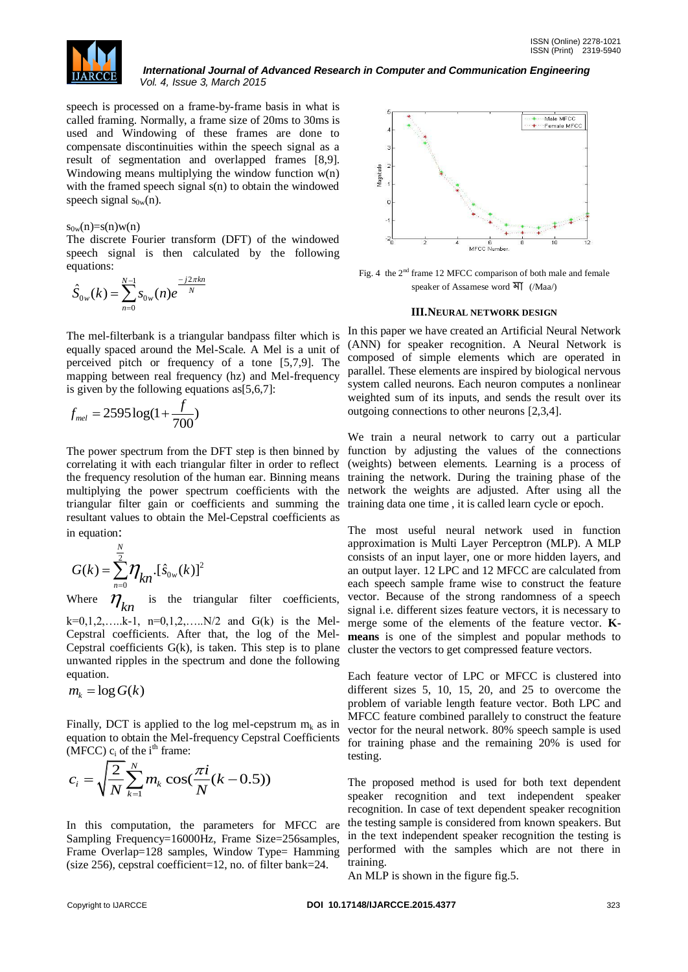

speech is processed on a frame-by-frame basis in what is called framing. Normally, a frame size of 20ms to 30ms is used and Windowing of these frames are done to compensate discontinuities within the speech signal as a result of segmentation and overlapped frames [8,9]. Windowing means multiplying the window function w(n) with the framed speech signal s(n) to obtain the windowed speech signal  $s_{0w}(n)$ .

#### $s_{0w}(n)=s(n)w(n)$

The discrete Fourier transform (DFT) of the windowed speech signal is then calculated by the following equations:

$$
\hat{S}_{0w}(k) = \sum_{n=0}^{N-1} s_{0w}(n) e^{\frac{-j2\pi kn}{N}}
$$

 The mel-filterbank is a triangular bandpass filter which is equally spaced around the Mel-Scale. A Mel is a unit of perceived pitch or frequency of a tone [5,7,9]. The mapping between real frequency (hz) and Mel-frequency is given by the following equations as[5,6,7]:

$$
f_{mel} = 2595 \log(1 + \frac{f}{700})
$$

 The power spectrum from the DFT step is then binned by correlating it with each triangular filter in order to reflect the frequency resolution of the human ear. Binning means triangular filter gain or coefficients and summing the training data one time , it is called learn cycle or epoch. resultant values to obtain the Mel-Cepstral coefficients as in equation:

$$
G(k) = \sum_{n=0}^{N} \eta_{kn} \cdot [\hat{s}_{0w}(k)]^2
$$

Where  $\eta_{_{kn}}$ is the triangular filter coefficients,  $k=0,1,2,....k-1$ ,  $n=0,1,2,....N/2$  and  $G(k)$  is the Mel-Cepstral coefficients. After that, the log of the Mel-

Cepstral coefficients  $G(k)$ , is taken. This step is to plane unwanted ripples in the spectrum and done the following equation.

$$
m_k = \log G(k)
$$

Finally, DCT is applied to the log mel-cepstrum  $m_k$  as in equation to obtain the Mel-frequency Cepstral Coefficients (MFCC)  $c_i$  of the i<sup>th</sup> frame:

$$
c_i = \sqrt{\frac{2}{N}} \sum_{k=1}^{N} m_k \cos(\frac{\pi i}{N}(k - 0.5))
$$

In this computation, the parameters for MFCC are Sampling Frequency=16000Hz, Frame Size=256samples, Frame Overlap=128 samples, Window Type= Hamming (size 256), cepstral coefficient=12, no. of filter bank=24.



Fig. 4 the  $2<sup>nd</sup>$  frame 12 MFCC comparison of both male and female speaker of Assamese word মা (/Maa/)

#### **III.NEURAL NETWORK DESIGN**

In this paper we have created an Artificial Neural Network (ANN) for speaker recognition. A Neural Network is composed of simple elements which are operated in parallel. These elements are inspired by biological nervous system called neurons. Each neuron computes a nonlinear weighted sum of its inputs, and sends the result over its outgoing connections to other neurons [2,3,4].

multiplying the power spectrum coefficients with the network the weights are adjusted. After using all the We train a neural network to carry out a particular function by adjusting the values of the connections (weights) between elements. Learning is a process of training the network. During the training phase of the

> The most useful neural network used in function approximation is Multi Layer Perceptron (MLP). A MLP consists of an input layer, one or more hidden layers, and an output layer. 12 LPC and 12 MFCC are calculated from each speech sample frame wise to construct the feature vector. Because of the strong randomness of a speech signal i.e. different sizes feature vectors, it is necessary to merge some of the elements of the feature vector. **Kmeans** is one of the simplest and popular methods to cluster the vectors to get compressed feature vectors.

> Each feature vector of LPC or MFCC is clustered into different sizes 5, 10, 15, 20, and 25 to overcome the problem of variable length feature vector. Both LPC and MFCC feature combined parallely to construct the feature vector for the neural network. 80% speech sample is used for training phase and the remaining 20% is used for testing.

> The proposed method is used for both text dependent speaker recognition and text independent speaker recognition. In case of text dependent speaker recognition the testing sample is considered from known speakers. But in the text independent speaker recognition the testing is performed with the samples which are not there in training.

An MLP is shown in the figure fig.5.